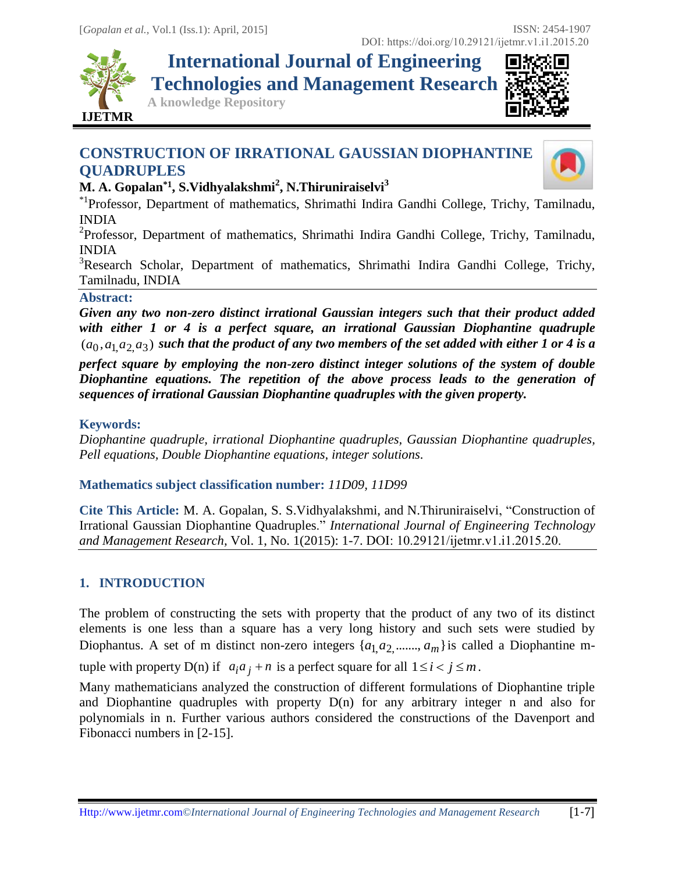

**International Journal of Engineering Technologies and Management Research**

**A knowledge Repository**



# **CONSTRUCTION OF IRRATIONAL GAUSSIAN DIOPHANTINE QUADRUPLES**



# **M. A. Gopalan\*1 , S.Vidhyalakshmi<sup>2</sup> , N.Thiruniraiselvi<sup>3</sup>**

\*1Professor, Department of mathematics, Shrimathi Indira Gandhi College, Trichy, Tamilnadu, INDIA

<sup>2</sup>Professor, Department of mathematics, Shrimathi Indira Gandhi College, Trichy, Tamilnadu, INDIA

<sup>3</sup>Research Scholar, Department of mathematics, Shrimathi Indira Gandhi College, Trichy, Tamilnadu, INDIA

#### **Abstract:**

*Given any two non-zero distinct irrational Gaussian integers such that their product added with either 1 or 4 is a perfect square, an irrational Gaussian Diophantine quadruple*   $(a_0, a_1, a_2, a_3)$  such that the product of any two members of the set added with either 1 or 4 is a

*perfect square by employing the non-zero distinct integer solutions of the system of double Diophantine equations. The repetition of the above process leads to the generation of sequences of irrational Gaussian Diophantine quadruples with the given property.*

## **Keywords:**

*Diophantine quadruple, irrational Diophantine quadruples, Gaussian Diophantine quadruples, Pell equations, Double Diophantine equations, integer solutions.* 

**Mathematics subject classification number:** *11D09, 11D99*

**Cite This Article:** M. A. Gopalan, S. S.Vidhyalakshmi, and N.Thiruniraiselvi, "Construction of Irrational Gaussian Diophantine Quadruples." *International Journal of Engineering Technology and Management Research,* Vol. 1, No. 1(2015): 1-7. DOI: 10.29121/ijetmr.v1.i1.2015.20.

# **1. INTRODUCTION**

The problem of constructing the sets with property that the product of any two of its distinct elements is one less than a square has a very long history and such sets were studied by Diophantus. A set of m distinct non-zero integers  $\{a_1, a_2, \ldots, a_m\}$  is called a Diophantine mtuple with property  $D(n)$  if  $a_i a_j + n$  is a perfect square for all  $1 \le i < j \le m$ .

Many mathematicians analyzed the construction of different formulations of Diophantine triple and Diophantine quadruples with property  $D(n)$  for any arbitrary integer n and also for polynomials in n. Further various authors considered the constructions of the Davenport and Fibonacci numbers in [2-15].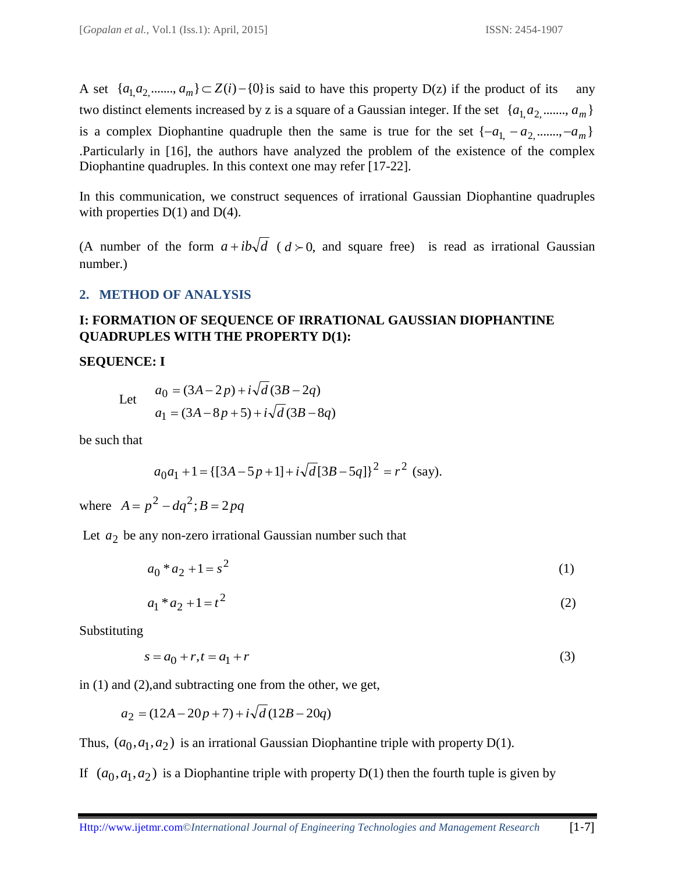A set  $\{a_1, a_2, \ldots, a_m\} \subset Z(i) - \{0\}$  is said to have this property D(z) if the product of its any two distinct elements increased by z is a square of a Gaussian integer. If the set  $\{a_1, a_2, \ldots, a_m\}$ is a complex Diophantine quadruple then the same is true for the set  $\{-a_1, -a_2, \dots, -a_m\}$ .Particularly in [16], the authors have analyzed the problem of the existence of the complex Diophantine quadruples. In this context one may refer [17-22].

In this communication, we construct sequences of irrational Gaussian Diophantine quadruples with properties  $D(1)$  and  $D(4)$ .

(A number of the form  $a + ib\sqrt{d}$  ( $d > 0$ , and square free) is read as irrational Gaussian number.)

#### **2. METHOD OF ANALYSIS**

## **I: FORMATION OF SEQUENCE OF IRRATIONAL GAUSSIAN DIOPHANTINE QUADRUPLES WITH THE PROPERTY D(1):**

#### **SEQUENCE: I**

Let 
$$
a_0 = (3A - 2p) + i\sqrt{d}(3B - 2q)
$$
  
 $a_1 = (3A - 8p + 5) + i\sqrt{d}(3B - 8q)$ 

be such that

$$
a_0a_1 + 1 = \{ [3A - 5p + 1] + i\sqrt{d} [3B - 5q] \}^2 = r^2
$$
 (say).

where  $A = p^2 - dq^2$ ;  $B = 2pq$ 

Let  $a_2$  be any non-zero irrational Gaussian number such that

$$
a_0 * a_2 + 1 = s^2 \tag{1}
$$

$$
a_1 * a_2 + 1 = t^2 \tag{2}
$$

Substituting

$$
s = a_0 + r, t = a_1 + r \tag{3}
$$

in (1) and (2),and subtracting one from the other, we get,

$$
a_2 = (12A - 20p + 7) + i\sqrt{d}(12B - 20q)
$$

Thus,  $(a_0, a_1, a_2)$  is an irrational Gaussian Diophantine triple with property D(1).

If  $(a_0, a_1, a_2)$  is a Diophantine triple with property D(1) then the fourth tuple is given by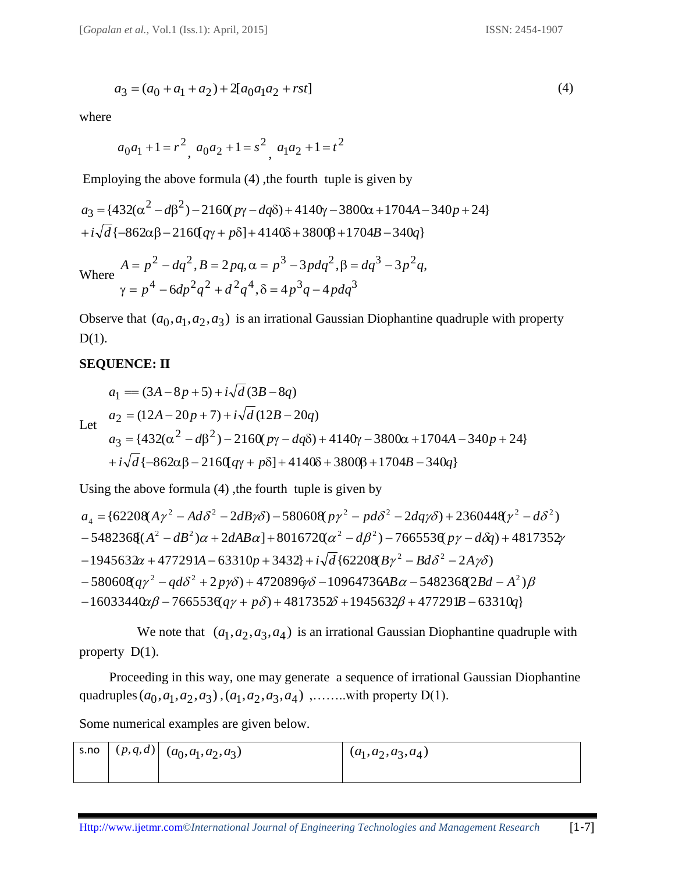$$
a_3 = (a_0 + a_1 + a_2) + 2[a_0a_1a_2 + rst]
$$
\n<sup>(4)</sup>

where

$$
a_0a_1 + 1 = r^2
$$
,  $a_0a_2 + 1 = s^2$ ,  $a_1a_2 + 1 = t^2$ 

Employing the above formula (4), the fourth tuple is given by

$$
a_3 = \{432(\alpha^2 - d\beta^2) - 2160(\gamma - d q \delta) + 4140\gamma - 3800\alpha + 1704A - 340p + 24\}
$$
  
+  $i\sqrt{d}\{-862\alpha\beta - 2160(q\gamma + p\delta) + 4140\delta + 3800\beta + 1704B - 340q\}$ 

Where 
$$
A = p^2 - dq^2
$$
,  $B = 2pq$ ,  $\alpha = p^3 - 3pdq^2$ ,  $\beta = dq^3 - 3p^2q$ ,  
\n $\gamma = p^4 - 6dp^2q^2 + d^2q^4$ ,  $\delta = 4p^3q - 4pdq^3$ 

Observe that  $(a_0, a_1, a_2, a_3)$  is an irrational Gaussian Diophantine quadruple with property D(1).

#### **SEQUENCE: II**

$$
a_1 = (3A - 8p + 5) + i\sqrt{d} (3B - 8q)
$$
  
Let 
$$
a_2 = (12A - 20p + 7) + i\sqrt{d} (12B - 20q)
$$

$$
a_3 = \{432(\alpha^2 - d\beta^2) - 2160(p\gamma - dq\delta) + 4140\gamma - 3800\alpha + 1704A - 340p + 24\}
$$

$$
+ i\sqrt{d} \{-862\alpha\beta - 2160(q\gamma + p\delta) + 4140\delta + 3800\beta + 1704B - 340q\}
$$

$$
+i\sqrt{d}\{-862\alpha\beta - 2160[q\gamma + p\delta] + 4140\delta + 3800\beta + 1704B - 340q\}
$$
  
Using the above formula (4), the fourth tuple is given by  

$$
a_4 = \{62208(A\gamma^2 - Ad\delta^2 - 2dB\gamma\delta) - 580608(p\gamma^2 - pd\delta^2 - 2dq\gamma\delta) + 2360448(\gamma^2 - d\delta^2) - 5482368[(A^2 - dB^2)\alpha + 2dAB\alpha] + 8016720(\alpha^2 - d\beta^2) - 7665536(p\gamma - d\delta q) + 4817352p - 1945632\alpha + 477291A - 63310p + 3432\} + i\sqrt{d}\{62208(B\gamma^2 - Bd\delta^2 - 2A\gamma\delta) - 580608(q\gamma^2 - qd\delta^2 + 2p\gamma\delta) + 4720896p\delta - 10964736AB\alpha - 54823682Bd - A^2)\beta - 16033440\alpha\beta - 7665536(q\gamma + p\delta) + 4817352\delta + 1945632\beta + 477291B - 63310q\}
$$

We note that  $(a_1, a_2, a_3, a_4)$  is an irrational Gaussian Diophantine quadruple with property D(1).

 Proceeding in this way, one may generate a sequence of irrational Gaussian Diophantine quadruples  $(a_0, a_1, a_2, a_3)$ ,  $(a_1, a_2, a_3, a_4)$ , .......with property D(1).

Some numerical examples are given below.

| s.no | $(p,q,d)$ $(a_0,a_1,a_2,a_3)$ | $(a_1, a_2, a_3, a_4)$ |
|------|-------------------------------|------------------------|
|      |                               |                        |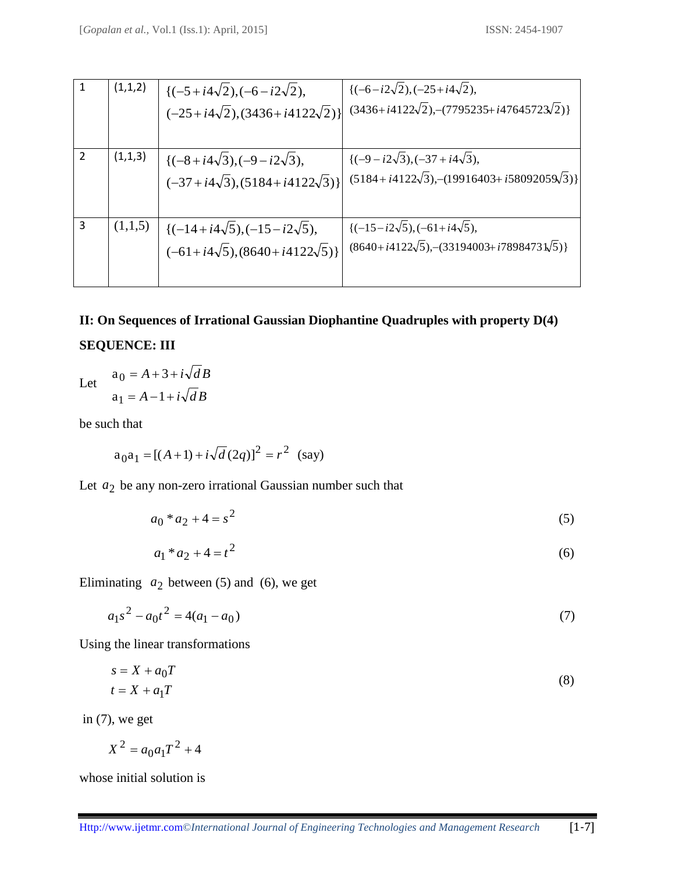|               | (1,1,2) | ${(-5+i4\sqrt{2}), (-6-i2\sqrt{2})},$                        | $\{(-6-i2\sqrt{2}), (-25+i4\sqrt{2}),$                   |
|---------------|---------|--------------------------------------------------------------|----------------------------------------------------------|
|               |         | $(-25+i4\sqrt{2}), (3436+i4122\sqrt{2})$                     | $(3436+i4122\sqrt{2}),-(7795235+i47645723\sqrt{2})\}$    |
|               |         |                                                              |                                                          |
| $\mathcal{P}$ | (1,1,3) | $\{(-8+i4\sqrt{3}), (-9-i2\sqrt{3}),$                        | $\{(-9 - i2\sqrt{3}), (-37 + i4\sqrt{3}),$               |
|               |         | $(-37+i4\sqrt{3}), (5184+i4122\sqrt{3})$                     | $(5184+i4122\sqrt{3})$ , $-(19916403+i58092059\sqrt{3})$ |
|               |         |                                                              |                                                          |
| 3             |         | $(1,1,5)$ $\left[(-14+i4\sqrt{5}), (-15-i2\sqrt{5}),\right]$ | $\{(-15 - i2\sqrt{5}), (-61 + i4\sqrt{5}),$              |
|               |         | $(-61+i4\sqrt{5}), (8640+i4122\sqrt{5})$                     | $(8640+i4122\sqrt{5})$ , $-(33194003+i7898473\sqrt{5})$  |
|               |         |                                                              |                                                          |

# **II: On Sequences of Irrational Gaussian Diophantine Quadruples with property D(4) SEQUENCE: III**

Let  $a_1 = A - 1 + i \sqrt{d} B$  $a_0 = A + 3 + i \sqrt{d} B$ 

be such that

$$
a_0 a_1 = [(A+1) + i\sqrt{d} (2q)]^2 = r^2
$$
 (say)

Let  $a_2$  be any non-zero irrational Gaussian number such that

$$
a_0 * a_2 + 4 = s^2 \tag{5}
$$

$$
a_1 * a_2 + 4 = t^2 \tag{6}
$$

Eliminating  $a_2$  between (5) and (6), we get

$$
a_1 s^2 - a_0 t^2 = 4(a_1 - a_0)
$$
\n<sup>(7)</sup>

Using the linear transformations

$$
s = X + a_0 T
$$
  
\n
$$
t = X + a_1 T
$$
\n(8)

in  $(7)$ , we get

$$
X^2 = a_0 a_1 T^2 + 4
$$

whose initial solution is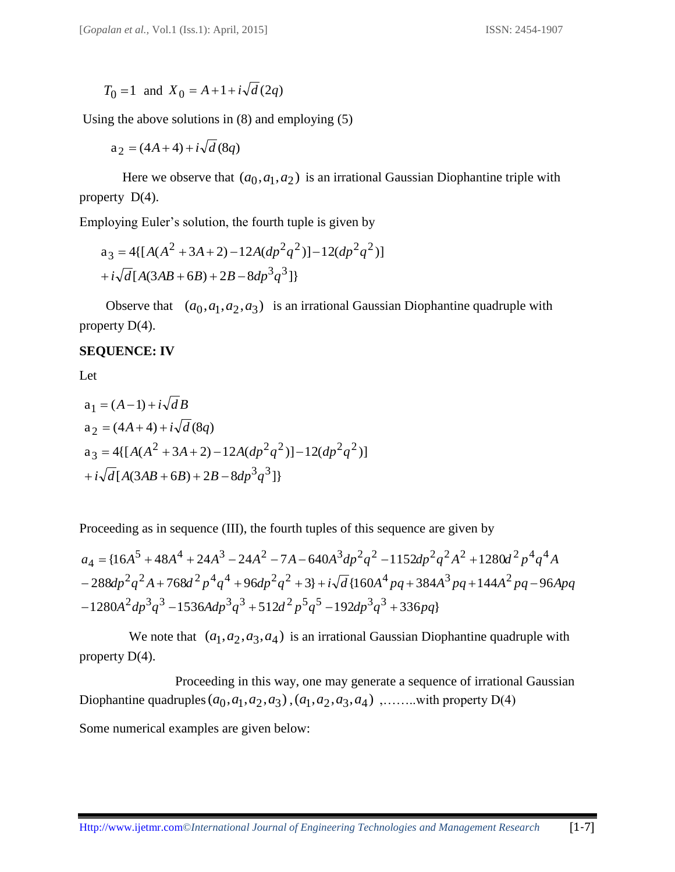$T_0 = 1$  and  $X_0 = A + 1 + i \sqrt{d(2q)}$ 

Using the above solutions in (8) and employing (5)

 $a_2 = (4A + 4) + i\sqrt{d} (8q)$ 

Here we observe that  $(a_0, a_1, a_2)$  is an irrational Gaussian Diophantine triple with property D(4).

Employing Euler's solution, the fourth tuple is given by

$$
a_3 = 4[{A(A2 + 3A + 2) - 12A(dp2q2)] - 12(dp2q2)]
$$
  
+  $i\sqrt{d}[A(3AB + 6B) + 2B - 8dp3q3]]$ 

Observe that  $(a_0, a_1, a_2, a_3)$  is an irrational Gaussian Diophantine quadruple with property D(4).

#### **SEQUENCE: IV**

Let

$$
a_1 = (A-1) + i\sqrt{d}B
$$
  
\n
$$
a_2 = (4A+4) + i\sqrt{d}(8q)
$$
  
\n
$$
a_3 = 4[{A(A2 + 3A + 2) - 12A(dp2q2)] - 12(dp2q2)]
$$
  
\n
$$
+ i\sqrt{d}[A(3AB+6B) + 2B - 8dp3q3]]
$$

Proceeding as in sequence (III), the fourth tuples of this sequence are given by

$$
a_4 = \{16A^5 + 48A^4 + 24A^3 - 24A^2 - 7A - 640A^3dp^2q^2 - 1152dp^2q^2A^2 + 1280d^2p^4q^4A
$$
  
- 288dp<sup>2</sup>q<sup>2</sup>A + 768d<sup>2</sup>p<sup>4</sup>q<sup>4</sup> + 96dp<sup>2</sup>q<sup>2</sup> + 3} + i\sqrt{d}\{160A^4pq + 384A^3pq + 144A^2pq - 96Apq  
- 1280A^2dp^3q^3 - 1536Adp^3q^3 + 512d^2p^5q^5 - 192dp^3q^3 + 336pq\}

We note that  $(a_1, a_2, a_3, a_4)$  is an irrational Gaussian Diophantine quadruple with property D(4).

 Proceeding in this way, one may generate a sequence of irrational Gaussian Diophantine quadruples  $(a_0, a_1, a_2, a_3)$ ,  $(a_1, a_2, a_3, a_4)$ , .......with property D(4) Some numerical examples are given below: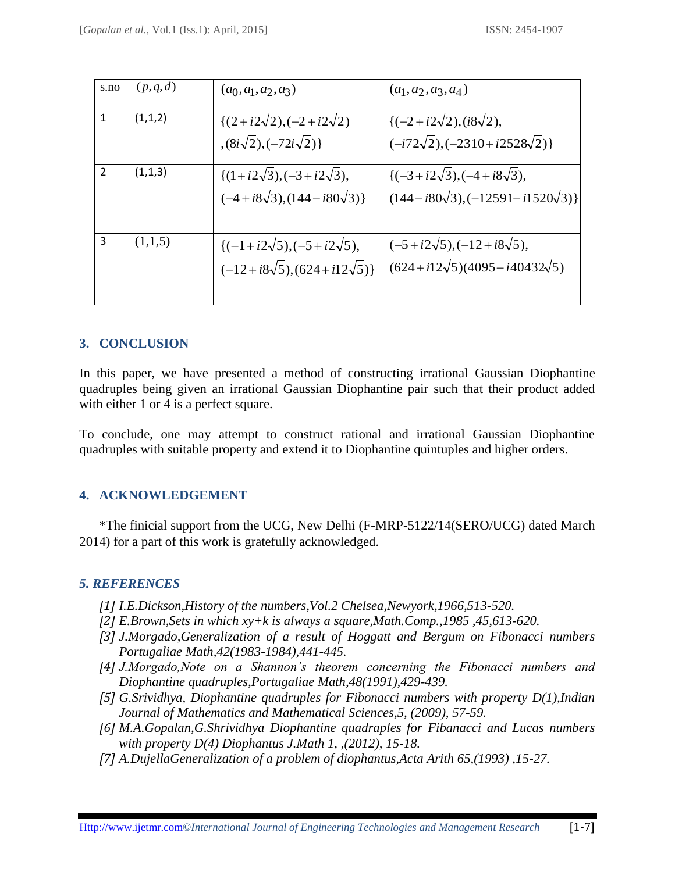| s.no           | (p,q,d) | $(a_0,a_1,a_2,a_3)$                                                               | $(a_1, a_2, a_3, a_4)$                                                                     |
|----------------|---------|-----------------------------------------------------------------------------------|--------------------------------------------------------------------------------------------|
| $\mathbf{1}$   | (1,1,2) | $\{(2+i2\sqrt{2}), (-2+i2\sqrt{2})\}$<br>$(8i\sqrt{2}), (-72i\sqrt{2})\}$         | $\{(-2+i2\sqrt{2}), (i8\sqrt{2}),$<br>$(-i72\sqrt{2}), (-2310+i2528\sqrt{2})\}$            |
| $\overline{2}$ | (1,1,3) | $\{(1+i2\sqrt{3}), (-3+i2\sqrt{3}),$<br>$(-4+i8\sqrt{3}), (144-i80\sqrt{3})$      | $\{(-3+i2\sqrt{3}), (-4+i8\sqrt{3}),$<br>$(144 - i80\sqrt{3}), (-12591 - i1520\sqrt{3})\}$ |
| 3              | (1,1,5) | $\{(-1+i2\sqrt{5}), (-5+i2\sqrt{5}),$<br>$(-12+i8\sqrt{5})$ , $(624+i12\sqrt{5})$ | $(-5+i2\sqrt{5})$ , $(-12+i8\sqrt{5})$ ,<br>$(624+i12\sqrt{5})(4095-i40432\sqrt{5})$       |

## **3. CONCLUSION**

In this paper, we have presented a method of constructing irrational Gaussian Diophantine quadruples being given an irrational Gaussian Diophantine pair such that their product added with either 1 or 4 is a perfect square.

To conclude, one may attempt to construct rational and irrational Gaussian Diophantine quadruples with suitable property and extend it to Diophantine quintuples and higher orders.

#### **4. ACKNOWLEDGEMENT**

\*The finicial support from the UCG, New Delhi (F-MRP-5122/14(SERO/UCG) dated March 2014) for a part of this work is gratefully acknowledged.

#### *5. REFERENCES*

- *[1] I.E.Dickson,History of the numbers,Vol.2 Chelsea,Newyork,1966,513-520.*
- *[2] E.Brown,Sets in which xy+k is always a square,Math.Comp.,1985 ,45,613-620.*
- *[3] J.Morgado,Generalization of a result of Hoggatt and Bergum on Fibonacci numbers Portugaliae Math,42(1983-1984),441-445.*
- *[4] J.Morgado,Note on a Shannon's theorem concerning the Fibonacci numbers and Diophantine quadruples,Portugaliae Math,48(1991),429-439.*
- *[5] G.Srividhya, Diophantine quadruples for Fibonacci numbers with property D(1),Indian Journal of Mathematics and Mathematical Sciences,5, (2009), 57-59.*
- *[6] M.A.Gopalan,G.Shrividhya Diophantine quadraples for Fibanacci and Lucas numbers with property D(4) Diophantus J.Math 1, ,(2012), 15-18.*
- *[7] A.DujellaGeneralization of a problem of diophantus,Acta Arith 65,(1993) ,15-27.*